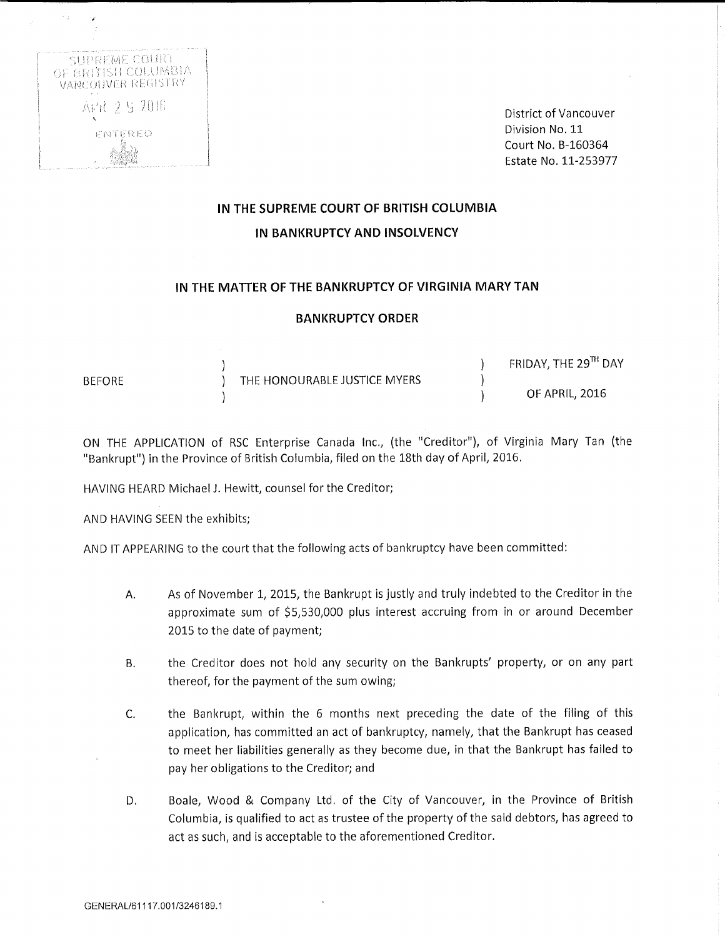

District of Vancouver Division No, 11 Court No. B-160364 Estate No. 11-253977

# IN THE SUPREME COURT OF BRITISH COLUMBIA IN BANKRUPTCY AND INSOLVENCY

## IN THE MATTER OF THE BANKRUPTCY OF VIRGINIA MARY TAN

#### BANKRUPTCY ORDER

|               |                              | FRIDAY, THE 29TH DAY |
|---------------|------------------------------|----------------------|
| <b>BEFORE</b> | THE HONOURABLE JUSTICE MYERS |                      |
|               |                              | OF APRIL, 2016       |

ON THE APPLICATION of RSC Enterprise Canada Inc., (the "Creditor"), of Virginia Mary Tan (the "Bankrupt") in the Province of British Columbia, filed on the 18th day of April, 2016.

HAVING HEARD Michael J. Hewitt, counsel for the Creditor;

AND HAVING SEEN the exhibits;

AND IT APPEARING to the court that the following acts of bankruptcy have been committed:

- A. As of November 1, 2015, the Bankrupt is justly and truly indebted to the Creditor in the approximate sum of \$5,530,000 plus interest accruing from in or around December 2015 to the date of payment;
- B. the Creditor does not hold any security on the Bankrupts' property, or on any part thereof, for the payment of the sum owing;
- C. the Bankrupt, within the 6 months next preceding the date of the filing of this application, has committed an act of bankruptcy, namely, that the Bankrupt has ceased to meet her liabilities generally as they become due, in that the Bankrupt has failed to pay her obligations to the Creditor; and
- D. Boale, Wood & Company Ltd. of the City of Vancouver, in the Province of British Columbia, is qualified to act as trustee of the property of the said debtors, has agreed to act as such, and is acceptable to the aforementioned Creditor.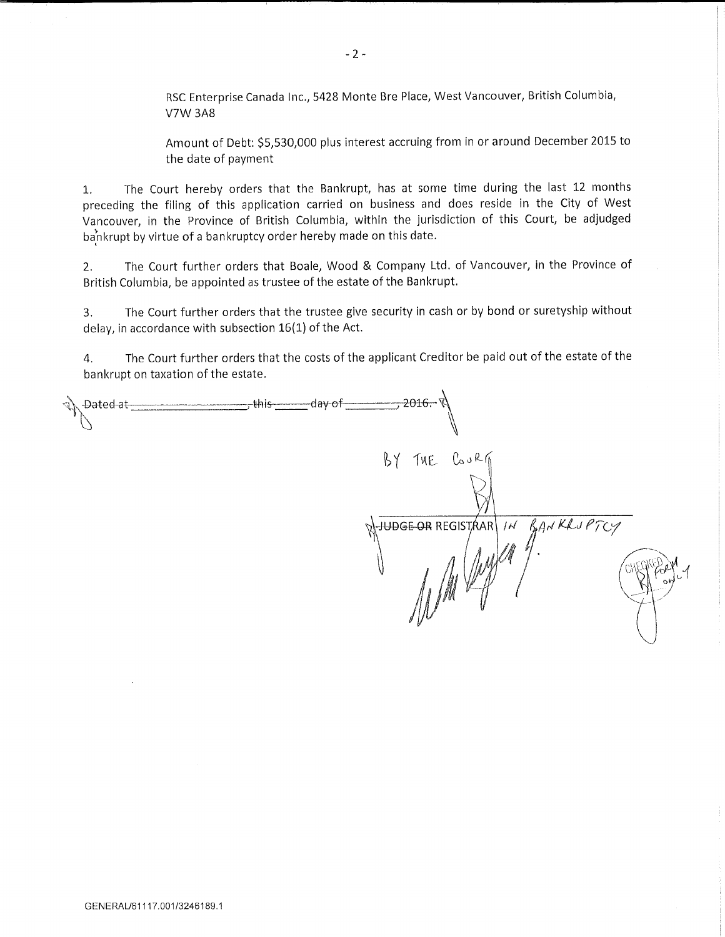RSC Enterprise Canada Inc., 5428 Monte Bre Place, West Vancouver, British Columbia, V7W 3A8

Amount of Debt: \$5,530,000 plus interest accruing from in or around December 2015 to the date of payment

1. The Court hereby orders that the Bankrupt, has at some time during the last 12 months preceding the filing of this application carried on business and does reside in the City of West Vancouver, in the Province of British Columbia, within the jurisdiction of this Court, be adjudged bankrupt by virtue of a bankruptcy order hereby made on this date.

2. The Court further orders that Boale, Wood & Company Ltd. of Vancouver, in the Province of British Columbia, be appointed as trustee of the estate of the Bankrupt.

3. The Court further orders that the trustee give security in cash or by bond or suretyship without delay, in accordance with subsection 16(1) of the Act.

4. The Court further orders that the costs of the applicant Creditor be paid out of the estate of the bankrupt on taxation of the estate.

| -Dated-at- | -2016.− V<br>-this-<br>-day-of-              |
|------------|----------------------------------------------|
|            | $BY$ THE $C_0$ $R_0$                         |
|            | WHOOE OR REGISTRAR IN BANKLUPTCY<br>$\sigma$ |
|            |                                              |